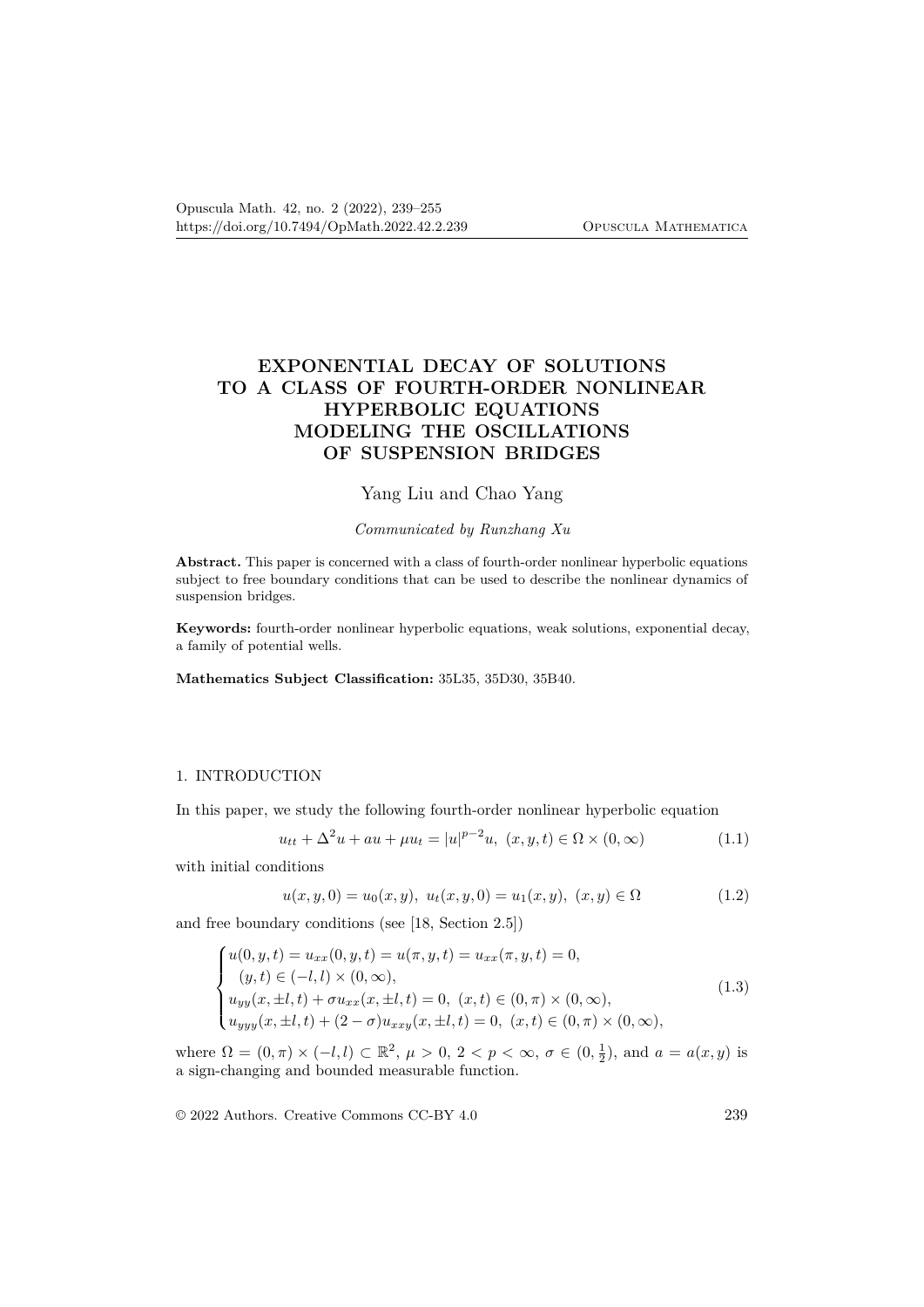# **EXPONENTIAL DECAY OF SOLUTIONS TO A CLASS OF FOURTH-ORDER NONLINEAR HYPERBOLIC EQUATIONS MODELING THE OSCILLATIONS OF SUSPENSION BRIDGES**

# Yang Liu and Chao Yang

#### *Communicated by Runzhang Xu*

**Abstract.** This paper is concerned with a class of fourth-order nonlinear hyperbolic equations subject to free boundary conditions that can be used to describe the nonlinear dynamics of suspension bridges.

**Keywords:** fourth-order nonlinear hyperbolic equations, weak solutions, exponential decay, a family of potential wells.

**Mathematics Subject Classification:** 35L35, 35D30, 35B40.

### 1. INTRODUCTION

In this paper, we study the following fourth-order nonlinear hyperbolic equation

$$
u_{tt} + \Delta^2 u + au + \mu u_t = |u|^{p-2}u, \ (x, y, t) \in \Omega \times (0, \infty)
$$
 (1.1)

with initial conditions

$$
u(x, y, 0) = u_0(x, y), \ u_t(x, y, 0) = u_1(x, y), \ (x, y) \in \Omega \tag{1.2}
$$

and free boundary conditions (see [18, Section 2.5])

$$
\begin{cases}\nu(0, y, t) = u_{xx}(0, y, t) = u(\pi, y, t) = u_{xx}(\pi, y, t) = 0, \\
(y, t) \in (-l, l) \times (0, \infty), \\
u_{yy}(x, \pm l, t) + \sigma u_{xx}(x, \pm l, t) = 0, \ (x, t) \in (0, \pi) \times (0, \infty), \\
u_{yyy}(x, \pm l, t) + (2 - \sigma) u_{xxy}(x, \pm l, t) = 0, \ (x, t) \in (0, \pi) \times (0, \infty),\n\end{cases}
$$
\n(1.3)

where  $\Omega = (0, \pi) \times (-l, l) \subset \mathbb{R}^2$ ,  $\mu > 0$ ,  $2 < p < \infty$ ,  $\sigma \in (0, \frac{1}{2})$ , and  $a = a(x, y)$  is a sign-changing and bounded measurable function.

© 2022 Authors. Creative Commons CC-BY 4.0 239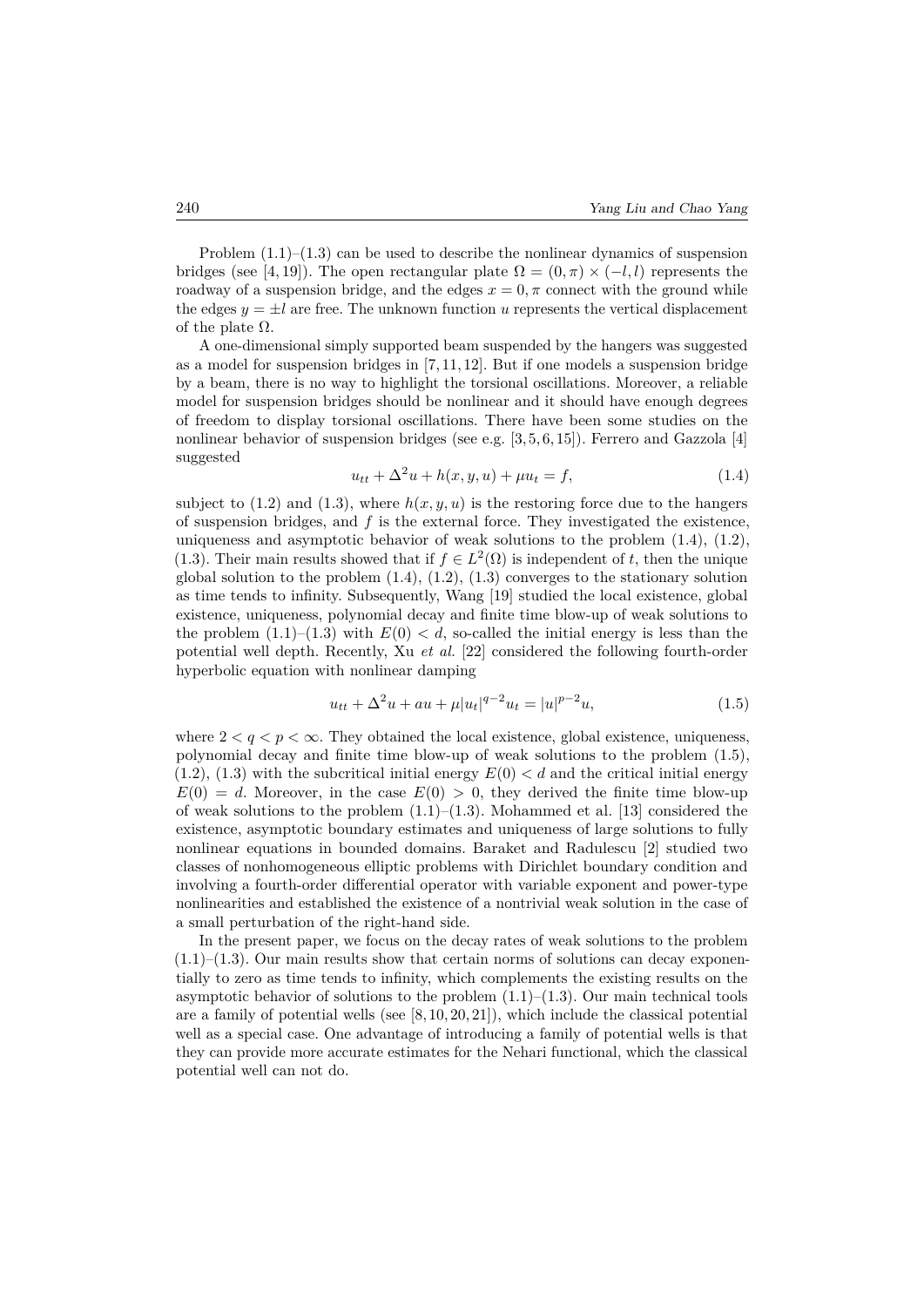Problem  $(1.1)$ – $(1.3)$  can be used to describe the nonlinear dynamics of suspension bridges (see [4, 19]). The open rectangular plate  $\Omega = (0, \pi) \times (-l, l)$  represents the roadway of a suspension bridge, and the edges  $x = 0, \pi$  connect with the ground while the edges  $y = \pm l$  are free. The unknown function *u* represents the vertical displacement of the plate  $\Omega$ .

A one-dimensional simply supported beam suspended by the hangers was suggested as a model for suspension bridges in [7, 11, 12]. But if one models a suspension bridge by a beam, there is no way to highlight the torsional oscillations. Moreover, a reliable model for suspension bridges should be nonlinear and it should have enough degrees of freedom to display torsional oscillations. There have been some studies on the nonlinear behavior of suspension bridges (see e.g. [3, 5, 6, 15]). Ferrero and Gazzola [4] suggested

$$
u_{tt} + \Delta^2 u + h(x, y, u) + \mu u_t = f,\tag{1.4}
$$

subject to  $(1.2)$  and  $(1.3)$ , where  $h(x, y, u)$  is the restoring force due to the hangers of suspension bridges, and *f* is the external force. They investigated the existence, uniqueness and asymptotic behavior of weak solutions to the problem  $(1.4)$ ,  $(1.2)$ , (1.3). Their main results showed that if  $f \in L^2(\Omega)$  is independent of *t*, then the unique global solution to the problem  $(1.4)$ ,  $(1.2)$ ,  $(1.3)$  converges to the stationary solution as time tends to infinity. Subsequently, Wang [19] studied the local existence, global existence, uniqueness, polynomial decay and finite time blow-up of weak solutions to the problem  $(1.1)–(1.3)$  with  $E(0) < d$ , so-called the initial energy is less than the potential well depth. Recently, Xu *et al.* [22] considered the following fourth-order hyperbolic equation with nonlinear damping

$$
u_{tt} + \Delta^2 u + au + \mu |u_t|^{q-2} u_t = |u|^{p-2} u,
$$
\n(1.5)

where  $2 < q < p < \infty$ . They obtained the local existence, global existence, uniqueness, polynomial decay and finite time blow-up of weak solutions to the problem (1.5),  $(1.2)$ ,  $(1.3)$  with the subcritical initial energy  $E(0) < d$  and the critical initial energy  $E(0) = d$ . Moreover, in the case  $E(0) > 0$ , they derived the finite time blow-up of weak solutions to the problem  $(1.1)$ – $(1.3)$ . Mohammed et al. [13] considered the existence, asymptotic boundary estimates and uniqueness of large solutions to fully nonlinear equations in bounded domains. Baraket and Radulescu [2] studied two classes of nonhomogeneous elliptic problems with Dirichlet boundary condition and involving a fourth-order differential operator with variable exponent and power-type nonlinearities and established the existence of a nontrivial weak solution in the case of a small perturbation of the right-hand side.

In the present paper, we focus on the decay rates of weak solutions to the problem  $(1.1)$ – $(1.3)$ . Our main results show that certain norms of solutions can decay exponentially to zero as time tends to infinity, which complements the existing results on the asymptotic behavior of solutions to the problem  $(1.1)$ – $(1.3)$ . Our main technical tools are a family of potential wells (see [8, 10, 20, 21]), which include the classical potential well as a special case. One advantage of introducing a family of potential wells is that they can provide more accurate estimates for the Nehari functional, which the classical potential well can not do.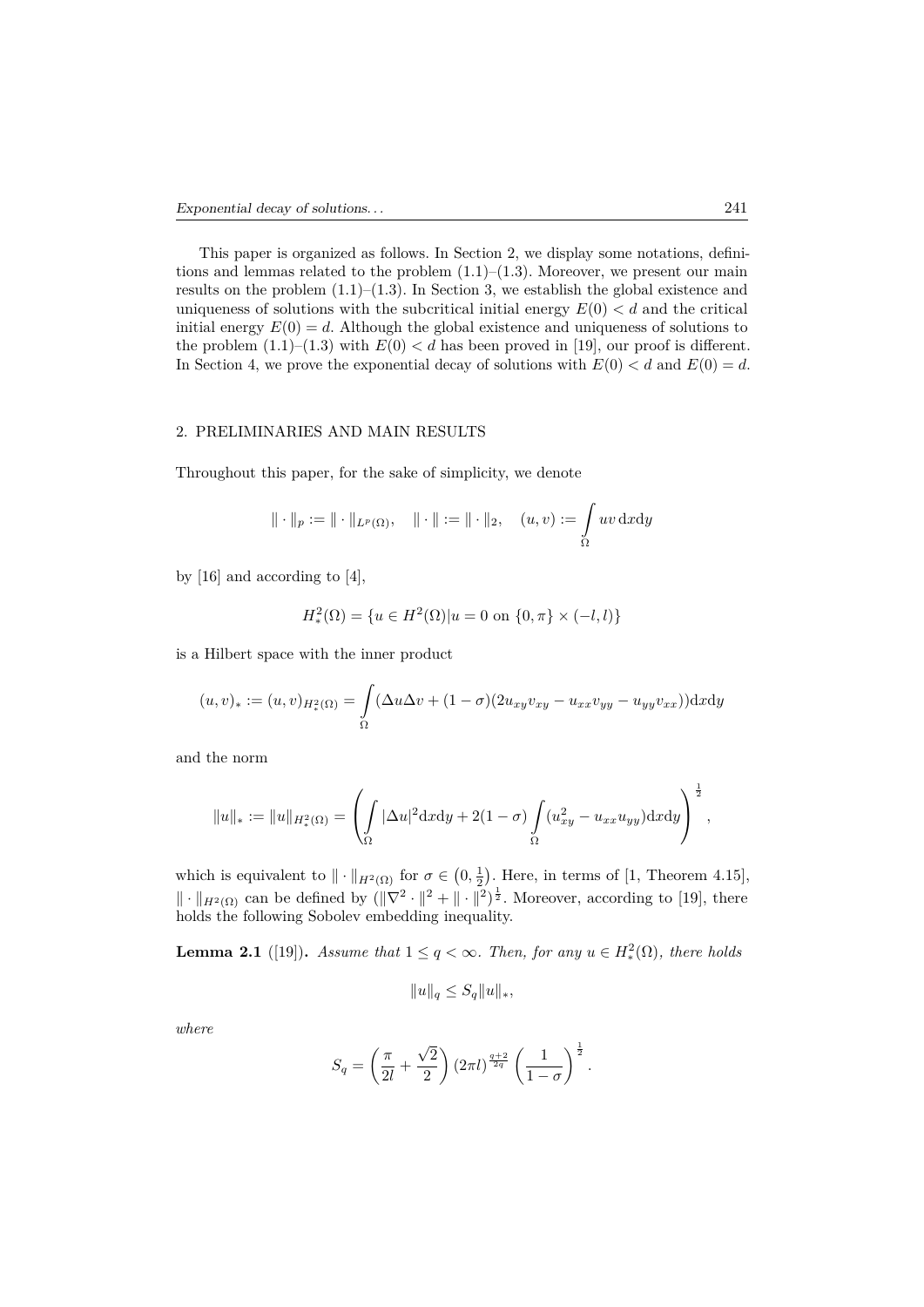This paper is organized as follows. In Section 2, we display some notations, definitions and lemmas related to the problem  $(1.1)$ – $(1.3)$ . Moreover, we present our main results on the problem  $(1.1)$ – $(1.3)$ . In Section 3, we establish the global existence and uniqueness of solutions with the subcritical initial energy  $E(0) < d$  and the critical initial energy  $E(0) = d$ . Although the global existence and uniqueness of solutions to the problem  $(1.1)$ – $(1.3)$  with  $E(0) < d$  has been proved in [19], our proof is different. In Section 4, we prove the exponential decay of solutions with  $E(0) < d$  and  $E(0) = d$ .

#### 2. PRELIMINARIES AND MAIN RESULTS

Throughout this paper, for the sake of simplicity, we denote

$$
\|\cdot\|_p:=\|\cdot\|_{L^p(\Omega)},\quad \|\cdot\|:=\|\cdot\|_2,\quad (u,v):=\int\limits_\Omega uv\,\mathrm{d}x\mathrm{d}y
$$

by [16] and according to [4],

$$
H_*^2(\Omega) = \{ u \in H^2(\Omega) | u = 0 \text{ on } \{0, \pi\} \times (-l, l) \}
$$

is a Hilbert space with the inner product

$$
(u, v)_* := (u, v)_{H_*^2(\Omega)} = \int_{\Omega} (\Delta u \Delta v + (1 - \sigma)(2u_{xy}v_{xy} - u_{xx}v_{yy} - u_{yy}v_{xx})) dxdy
$$

and the norm

$$
||u||_* := ||u||_{H_*^2(\Omega)} = \left(\int_{\Omega} |\Delta u|^2 \mathrm{d}x \mathrm{d}y + 2(1-\sigma) \int_{\Omega} (u_{xy}^2 - u_{xx} u_{yy}) \mathrm{d}x \mathrm{d}y\right)^{\frac{1}{2}},
$$

which is equivalent to  $\|\cdot\|_{H^2(\Omega)}$  for  $\sigma \in (0, \frac{1}{2})$ . Here, in terms of [1, Theorem 4.15],  $\|\cdot\|_{H^2(\Omega)}$  can be defined by  $(\|\nabla^2 \cdot \|^2 + \|\cdot\|^2)^{\frac{1}{2}}$ . Moreover, according to [19], there holds the following Sobolev embedding inequality.

**Lemma 2.1** ([19]). *Assume that*  $1 \leq q < \infty$ . *Then, for any*  $u \in H_*^2(\Omega)$ *, there holds* 

$$
||u||_q \leq S_q ||u||_*,
$$

*where*

$$
S_q = \left(\frac{\pi}{2l} + \frac{\sqrt{2}}{2}\right) \left(2\pi l\right)^{\frac{q+2}{2q}} \left(\frac{1}{1-\sigma}\right)^{\frac{1}{2}}.
$$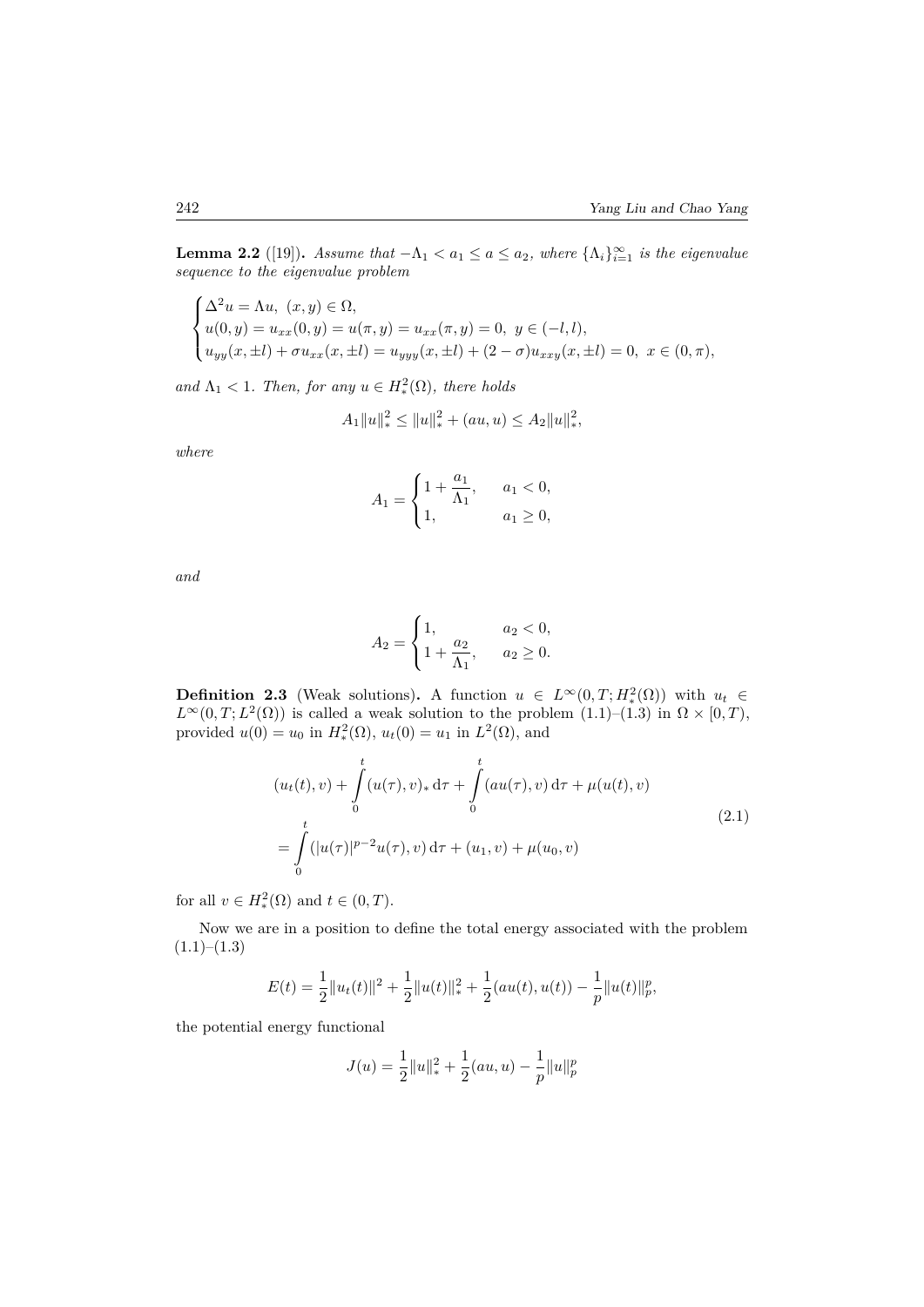**Lemma 2.2** ([19]). *Assume that*  $-\Lambda_1 < a_1 \le a \le a_2$ , where  $\{\Lambda_i\}_{i=1}^{\infty}$  is the eigenvalue *sequence to the eigenvalue problem*

$$
\begin{cases} \Delta^2 u = \Lambda u, \ (x, y) \in \Omega, \\ u(0, y) = u_{xx}(0, y) = u(\pi, y) = u_{xx}(\pi, y) = 0, \ y \in (-l, l), \\ u_{yy}(x, \pm l) + \sigma u_{xx}(x, \pm l) = u_{yyy}(x, \pm l) + (2 - \sigma)u_{xxy}(x, \pm l) = 0, \ x \in (0, \pi), \end{cases}
$$

*and*  $\Lambda_1$  < 1*. Then, for any*  $u \in H_*^2(\Omega)$ *, there holds* 

$$
A_1||u||_*^2 \le ||u||_*^2 + (au, u) \le A_2||u||_*^2,
$$

*where*

$$
A_1 = \begin{cases} 1 + \frac{a_1}{\Lambda_1}, & a_1 < 0, \\ 1, & a_1 \ge 0, \end{cases}
$$

*and*

$$
A_2 = \begin{cases} 1, & a_2 < 0, \\ 1 + \frac{a_2}{\Lambda_1}, & a_2 \ge 0. \end{cases}
$$

**Definition 2.3** (Weak solutions)**.** A function  $u \in L^{\infty}(0,T; H^2_*(\Omega))$  with  $u_t \in L^{\infty}((0,T; H^2_*(\Omega)))$  $L^{\infty}(0,T; L^2(\Omega))$  is called a weak solution to the problem  $(1.1)$ – $(1.3)$  in  $\Omega \times [0,T)$ , provided  $u(0) = u_0$  in  $H_*^2(\Omega)$ ,  $u_t(0) = u_1$  in  $L^2(\Omega)$ , and

$$
(u_t(t), v) + \int_0^t (u(\tau), v)_* d\tau + \int_0^t (au(\tau), v) d\tau + \mu(u(t), v)
$$
  
= 
$$
\int_0^t (|u(\tau)|^{p-2} u(\tau), v) d\tau + (u_1, v) + \mu(u_0, v)
$$
 (2.1)

for all  $v \in H_*^2(\Omega)$  and  $t \in (0, T)$ .

Now we are in a position to define the total energy associated with the problem  $(1.1)–(1.3)$ 

$$
E(t) = \frac{1}{2} ||u_t(t)||^2 + \frac{1}{2} ||u(t)||_*^2 + \frac{1}{2}(au(t), u(t)) - \frac{1}{p} ||u(t)||_p^p,
$$

the potential energy functional

$$
J(u) = \frac{1}{2} ||u||_*^2 + \frac{1}{2}(au, u) - \frac{1}{p} ||u||_p^p
$$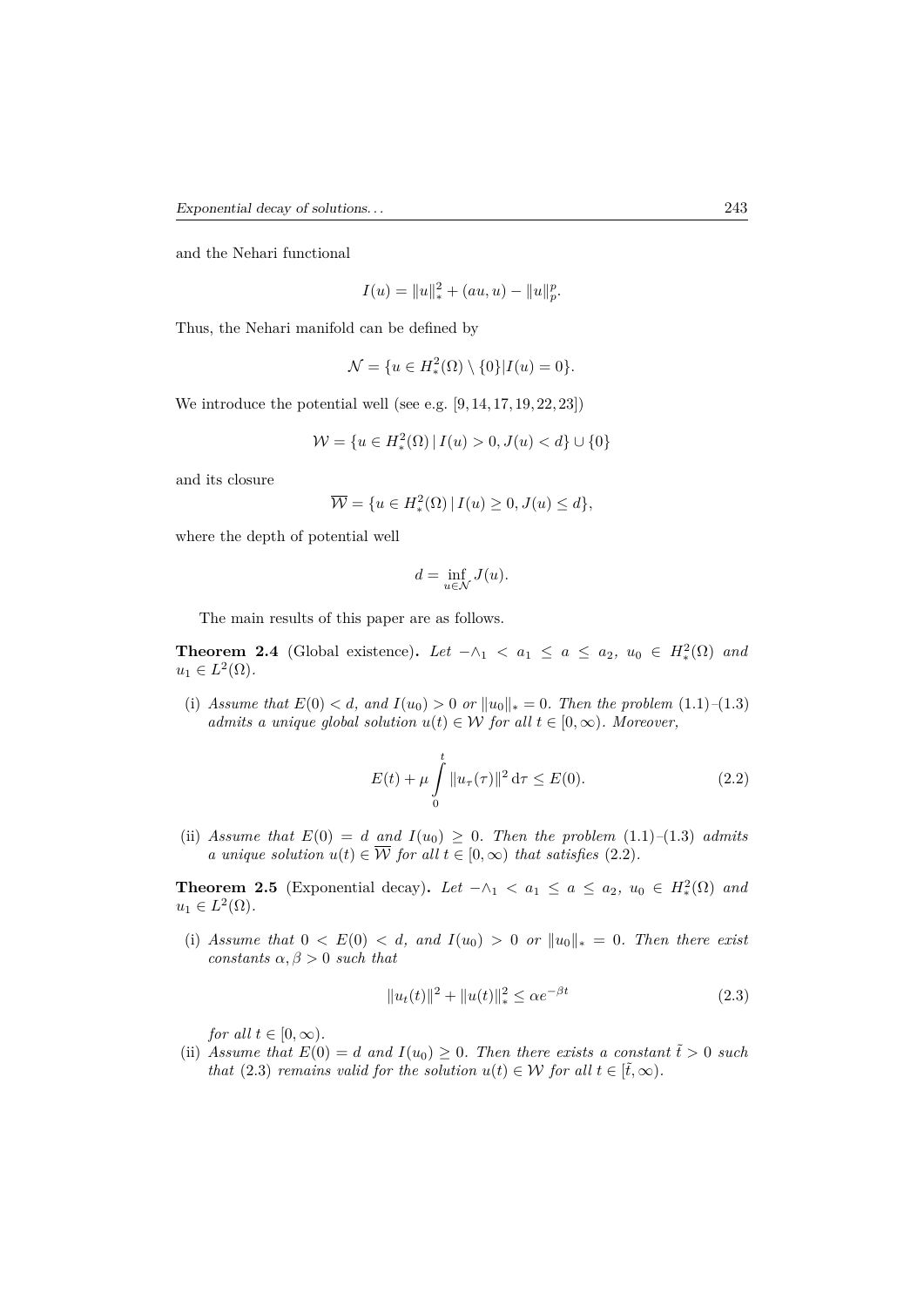and the Nehari functional

$$
I(u) = ||u||_*^2 + (au, u) - ||u||_p^p.
$$

Thus, the Nehari manifold can be defined by

$$
\mathcal{N} = \{ u \in H_*^2(\Omega) \setminus \{0\} | I(u) = 0 \}.
$$

We introduce the potential well (see e.g.  $[9, 14, 17, 19, 22, 23]$ )

$$
\mathcal{W} = \{ u \in H^2_*(\Omega) \, | \, I(u) > 0, J(u) < d \} \cup \{ 0 \}
$$

and its closure

$$
\overline{\mathcal{W}} = \{ u \in H^2_*(\Omega) \, | \, I(u) \ge 0, J(u) \le d \},
$$

where the depth of potential well

$$
d=\inf_{u\in \mathcal{N}}J(u).
$$

The main results of this paper are as follows.

**Theorem 2.4** (Global existence). Let  $-\wedge_1 < a_1 \le a \le a_2$ ,  $u_0 \in H_*^2(\Omega)$  and  $u_1 \in L^2(\Omega)$ .

(i) *Assume that*  $E(0) < d$ , and  $I(u_0) > 0$  or  $||u_0||_* = 0$ . Then the problem (1.1)–(1.3) *admits a unique global solution*  $u(t) \in W$  *for all*  $t \in [0, \infty)$ *. Moreover,* 

$$
E(t) + \mu \int_{0}^{t} \|u_{\tau}(\tau)\|^{2} d\tau \le E(0).
$$
 (2.2)

(ii) *Assume that*  $E(0) = d$  *and*  $I(u_0) \geq 0$ *. Then the problem* (1.1)–(1.3) *admits a unique solution*  $u(t) \in \overline{\mathcal{W}}$  *for all*  $t \in [0, \infty)$  *that satisfies* (2.2)*.* 

**Theorem 2.5** (Exponential decay). Let  $-\wedge_1 < a_1 \leq a \leq a_2, u_0 \in H_*^2(\Omega)$  and  $u_1 \in L^2(\Omega)$ .

(i) *Assume that*  $0 < E(0) < d$ , and  $I(u_0) > 0$  *or*  $||u_0||_* = 0$ . Then there exist *constants*  $\alpha, \beta > 0$  *such that* 

$$
||u_t(t)||^2 + ||u(t)||_*^2 \le \alpha e^{-\beta t}
$$
\n(2.3)

*for all*  $t \in [0, \infty)$ *.* 

(ii) Assume that  $E(0) = d$  and  $I(u_0) \geq 0$ . Then there exists a constant  $\tilde{t} > 0$  such *that* (2.3) *remains valid for the solution*  $u(t) \in W$  *for all*  $t \in [\tilde{t}, \infty)$ *.*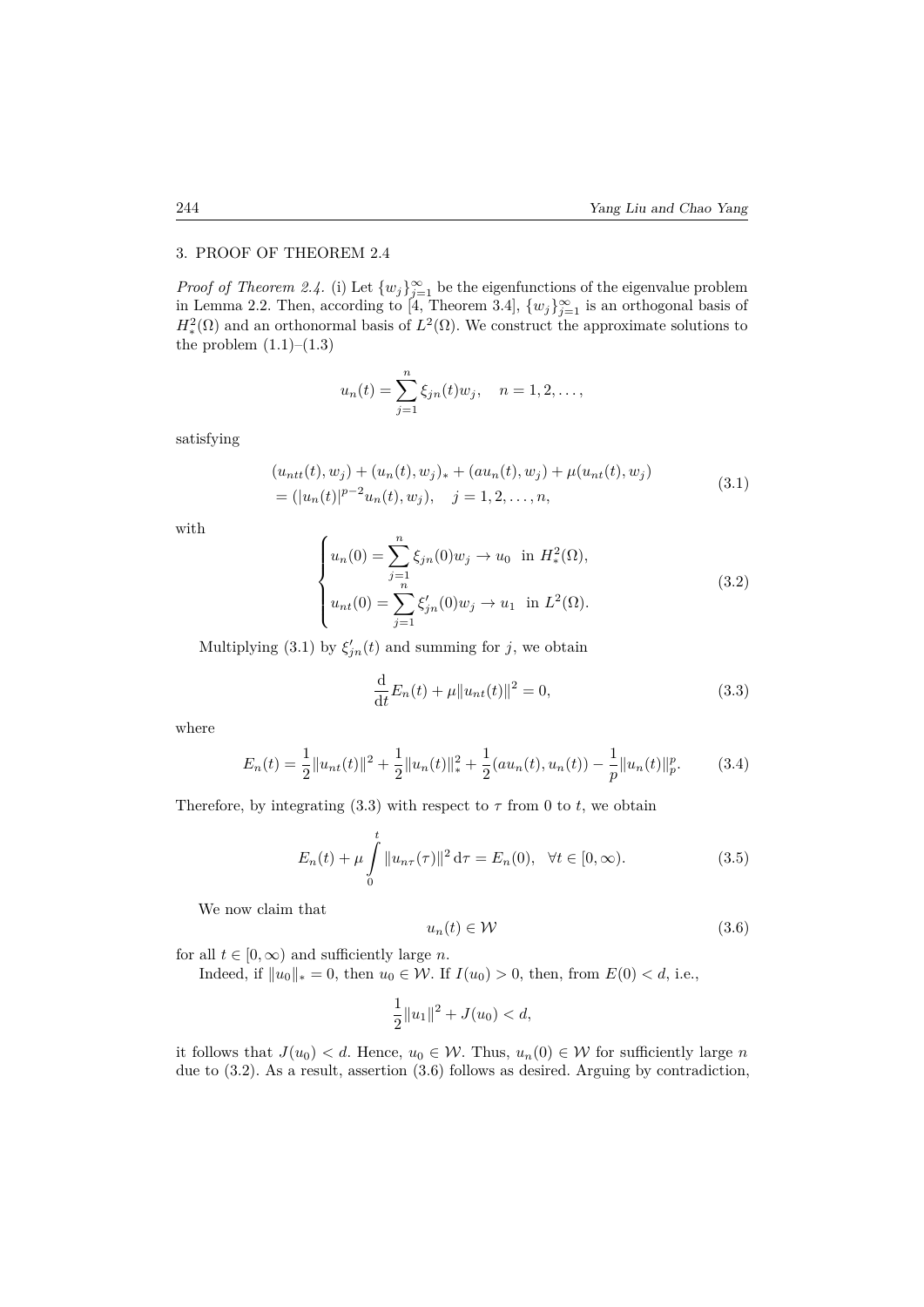#### 3. PROOF OF THEOREM 2.4

*Proof of Theorem 2.4.* (i) Let  $\{w_j\}_{j=1}^{\infty}$  be the eigenfunctions of the eigenvalue problem in Lemma 2.2. Then, according to [4, Theorem 3.4],  $\{w_j\}_{j=1}^{\infty}$  is an orthogonal basis of  $H^2_*(\Omega)$  and an orthonormal basis of  $L^2(\Omega)$ . We construct the approximate solutions to the problem  $(1.1)$ – $(1.3)$ 

$$
u_n(t) = \sum_{j=1}^n \xi_{jn}(t)w_j
$$
,  $n = 1, 2, ...,$ 

satisfying

$$
(u_{ntt}(t), w_j) + (u_n(t), w_j)_* + (au_n(t), w_j) + \mu(u_{ntt}(t), w_j)
$$
  
=  $(|u_n(t)|^{p-2}u_n(t), w_j), \quad j = 1, 2, ..., n,$  (3.1)

with

$$
\begin{cases}\n u_n(0) = \sum_{j=1}^n \xi_{jn}(0) w_j \to u_0 \text{ in } H^2_*(\Omega), \\
 u_{nt}(0) = \sum_{j=1}^n \xi'_{jn}(0) w_j \to u_1 \text{ in } L^2(\Omega).\n\end{cases}
$$
\n(3.2)

Multiplying (3.1) by  $\xi'_{jn}(t)$  and summing for *j*, we obtain

$$
\frac{\mathrm{d}}{\mathrm{d}t}E_n(t) + \mu \|u_{nt}(t)\|^2 = 0,\tag{3.3}
$$

where

$$
E_n(t) = \frac{1}{2} ||u_{nt}(t)||^2 + \frac{1}{2} ||u_n(t)||_*^2 + \frac{1}{2} (au_n(t), u_n(t)) - \frac{1}{p} ||u_n(t)||_p^p.
$$
 (3.4)

Therefore, by integrating (3.3) with respect to  $\tau$  from 0 to *t*, we obtain

$$
E_n(t) + \mu \int_0^t \|u_{n\tau}(\tau)\|^2 d\tau = E_n(0), \quad \forall t \in [0, \infty).
$$
 (3.5)

We now claim that

$$
u_n(t) \in \mathcal{W} \tag{3.6}
$$

for all  $t \in [0, \infty)$  and sufficiently large *n*.

Indeed, if ∥*u*0∥<sup>∗</sup> = 0, then *u*<sup>0</sup> ∈ W. If *I*(*u*0) *>* 0, then, from *E*(0) *< d*, i.e.,

$$
\frac{1}{2}||u_1||^2 + J(u_0) < d,
$$

it follows that  $J(u_0) < d$ . Hence,  $u_0 \in \mathcal{W}$ . Thus,  $u_n(0) \in \mathcal{W}$  for sufficiently large *n* due to (3.2). As a result, assertion (3.6) follows as desired. Arguing by contradiction,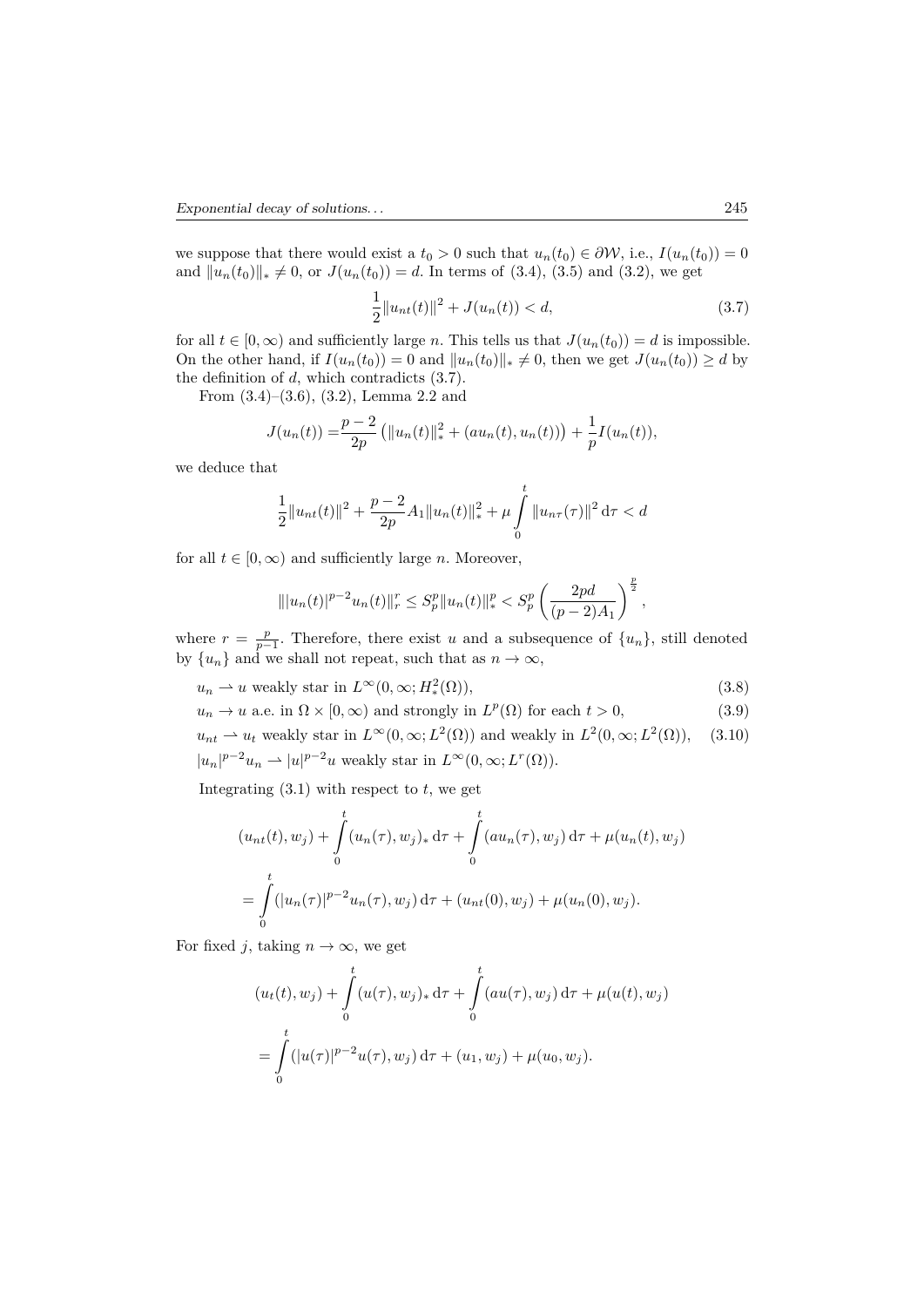we suppose that there would exist a  $t_0 > 0$  such that  $u_n(t_0) \in \partial \mathcal{W}$ , i.e.,  $I(u_n(t_0)) = 0$ and  $||u_n(t_0)||_* \neq 0$ , or  $J(u_n(t_0)) = d$ . In terms of (3.4), (3.5) and (3.2), we get

$$
\frac{1}{2}||u_{nt}(t)||^2 + J(u_n(t)) < d,\tag{3.7}
$$

for all  $t \in [0, \infty)$  and sufficiently large *n*. This tells us that  $J(u_n(t_0)) = d$  is impossible. On the other hand, if  $I(u_n(t_0)) = 0$  and  $||u_n(t_0)||_* \neq 0$ , then we get  $J(u_n(t_0)) \geq d$  by the definition of *d*, which contradicts (3.7).

From (3.4)–(3.6), (3.2), Lemma 2.2 and

$$
J(u_n(t)) = \frac{p-2}{2p} (||u_n(t)||_*^2 + (au_n(t), u_n(t))) + \frac{1}{p}I(u_n(t)),
$$

we deduce that

$$
\frac{1}{2}||u_{nt}(t)||^{2} + \frac{p-2}{2p}A_{1}||u_{n}(t)||_{*}^{2} + \mu \int_{0}^{t} ||u_{n\tau}(\tau)||^{2} d\tau < d
$$

for all  $t \in [0, \infty)$  and sufficiently large *n*. Moreover,

$$
\| |u_n(t)|^{p-2} u_n(t) \|_r^r \leq S_p^p \|u_n(t)\|_*^p < S_p^p \left( \frac{2pd}{(p-2)A_1} \right)^{\frac{p}{2}},
$$

where  $r = \frac{p}{p-1}$ . Therefore, there exist *u* and a subsequence of  $\{u_n\}$ , still denoted by  ${u_n}$  and we shall not repeat, such that as  $n \to \infty$ ,

$$
u_n \rightharpoonup u \text{ weakly star in } L^{\infty}(0, \infty; H^2_*(\Omega)), \tag{3.8}
$$

 $u_n \to u$  a.e. in  $\Omega \times [0, \infty)$  and strongly in  $L^p(\Omega)$  for each  $t > 0$ , (3.9)

 $u_{nt} \rightharpoonup u_t$  weakly star in  $L^{\infty}(0, \infty; L^2(\Omega))$  and weakly in  $L^2(0, \infty; L^2(\Omega))$ , (3.10)

 $|u_n|^{p-2}u_n \rightharpoonup |u|^{p-2}u$  weakly star in  $L^{\infty}(0, \infty; L^r(\Omega)).$ 

Integrating  $(3.1)$  with respect to  $t$ , we get

$$
(u_{nt}(t), w_j) + \int_0^t (u_n(\tau), w_j)_* d\tau + \int_0^t (au_n(\tau), w_j) d\tau + \mu(u_n(t), w_j)
$$
  
= 
$$
\int_0^t (|u_n(\tau)|^{p-2} u_n(\tau), w_j) d\tau + (u_{nt}(0), w_j) + \mu(u_n(0), w_j).
$$

For fixed *j*, taking  $n \to \infty$ , we get

$$
(u_t(t), w_j) + \int_0^t (u(\tau), w_j)_* d\tau + \int_0^t (au(\tau), w_j) d\tau + \mu(u(t), w_j)
$$
  
= 
$$
\int_0^t (|u(\tau)|^{p-2} u(\tau), w_j) d\tau + (u_1, w_j) + \mu(u_0, w_j).
$$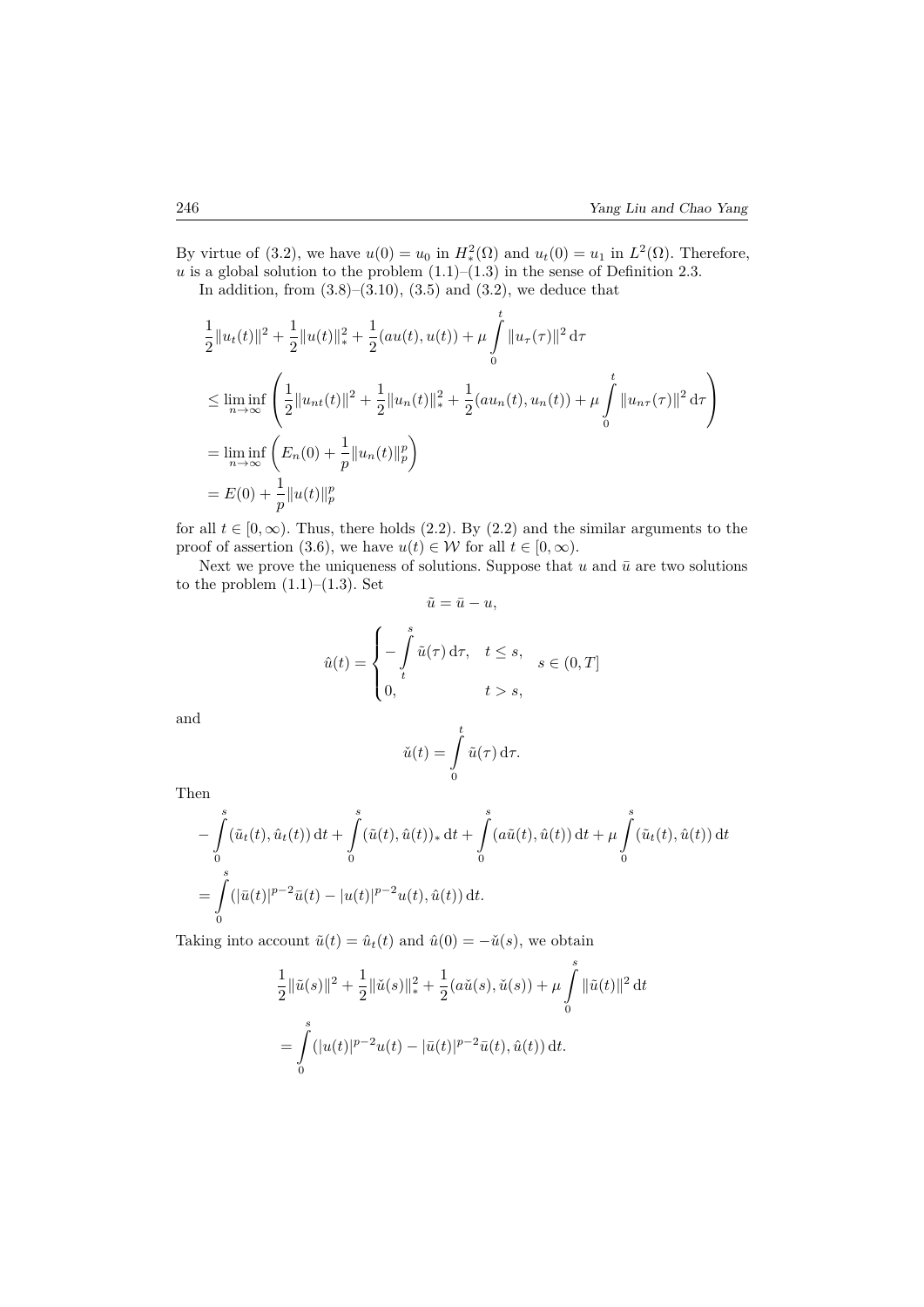By virtue of (3.2), we have  $u(0) = u_0$  in  $H_*^2(\Omega)$  and  $u_t(0) = u_1$  in  $L^2(\Omega)$ . Therefore,  $u$  is a global solution to the problem  $(1.1)$ – $(1.3)$  in the sense of Definition 2.3. In addition, from  $(3.8)$ – $(3.10)$ ,  $(3.5)$  and  $(3.2)$ , we deduce that

1  $\frac{1}{2}||u_t(t)||^2 + \frac{1}{2}$  $\frac{1}{2}||u(t)||_*^2 + \frac{1}{2}$  $\frac{1}{2}(au(t), u(t)) + \mu$  $\frac{t}{\sqrt{2}}$ 0  $||u_\tau(\tau)||^2 d\tau$ ≤ lim inf *n*→∞  $\sqrt{ }$  $\mathbf{I}$ 1  $\frac{1}{2}||u_{nt}(t)||^2 + \frac{1}{2}$  $\frac{1}{2}||u_n(t)||_*^2 + \frac{1}{2}$  $\frac{1}{2}(au_n(t), u_n(t)) + \mu$  $\frac{t}{\sqrt{2}}$ 0  $||u_{n\tau}(\tau)||^2 d\tau$  $\setminus$  $\overline{1}$  $=\liminf_{n\to\infty}\left(E_n(0) + \frac{1}{p}||u_n(t)||_p^p\right)$  $\overline{\phantom{0}}$  $= E(0) + \frac{1}{p} ||u(t)||_p^p$ 

for all  $t \in [0, \infty)$ . Thus, there holds (2.2). By (2.2) and the similar arguments to the proof of assertion (3.6), we have  $u(t) \in \mathcal{W}$  for all  $t \in [0, \infty)$ .

Next we prove the uniqueness of solutions. Suppose that  $u$  and  $\bar{u}$  are two solutions to the problem  $(1.1)$ – $(1.3)$ . Set

$$
\tilde{u} = \bar{u} - u,
$$
  

$$
\hat{u}(t) = \begin{cases}\n-\int_{t}^{s} \tilde{u}(\tau) d\tau, & t \leq s, \\
0, & t > s,\n\end{cases}
$$

and

$$
\check{u}(t) = \int\limits_0^t \tilde{u}(\tau) \, \mathrm{d}\tau.
$$

Then

$$
- \int_{0}^{s} (\tilde{u}_{t}(t), \hat{u}_{t}(t)) dt + \int_{0}^{s} (\tilde{u}(t), \hat{u}(t))_{*} dt + \int_{0}^{s} (a\tilde{u}(t), \hat{u}(t)) dt + \mu \int_{0}^{s} (\tilde{u}_{t}(t), \hat{u}(t)) dt
$$
  
= 
$$
\int_{0}^{s} (|\bar{u}(t)|^{p-2} \bar{u}(t) - |u(t)|^{p-2} u(t), \hat{u}(t)) dt.
$$

Taking into account  $\tilde{u}(t) = \hat{u}_t(t)$  and  $\hat{u}(0) = -\check{u}(s)$ , we obtain

$$
\frac{1}{2} ||\tilde{u}(s)||^2 + \frac{1}{2} ||\check{u}(s)||_*^2 + \frac{1}{2} (a\check{u}(s), \check{u}(s)) + \mu \int_0^s ||\tilde{u}(t)||^2 dt
$$
  
= 
$$
\int_0^s (|u(t)|^{p-2} u(t) - |\bar{u}(t)|^{p-2} \bar{u}(t), \hat{u}(t)) dt.
$$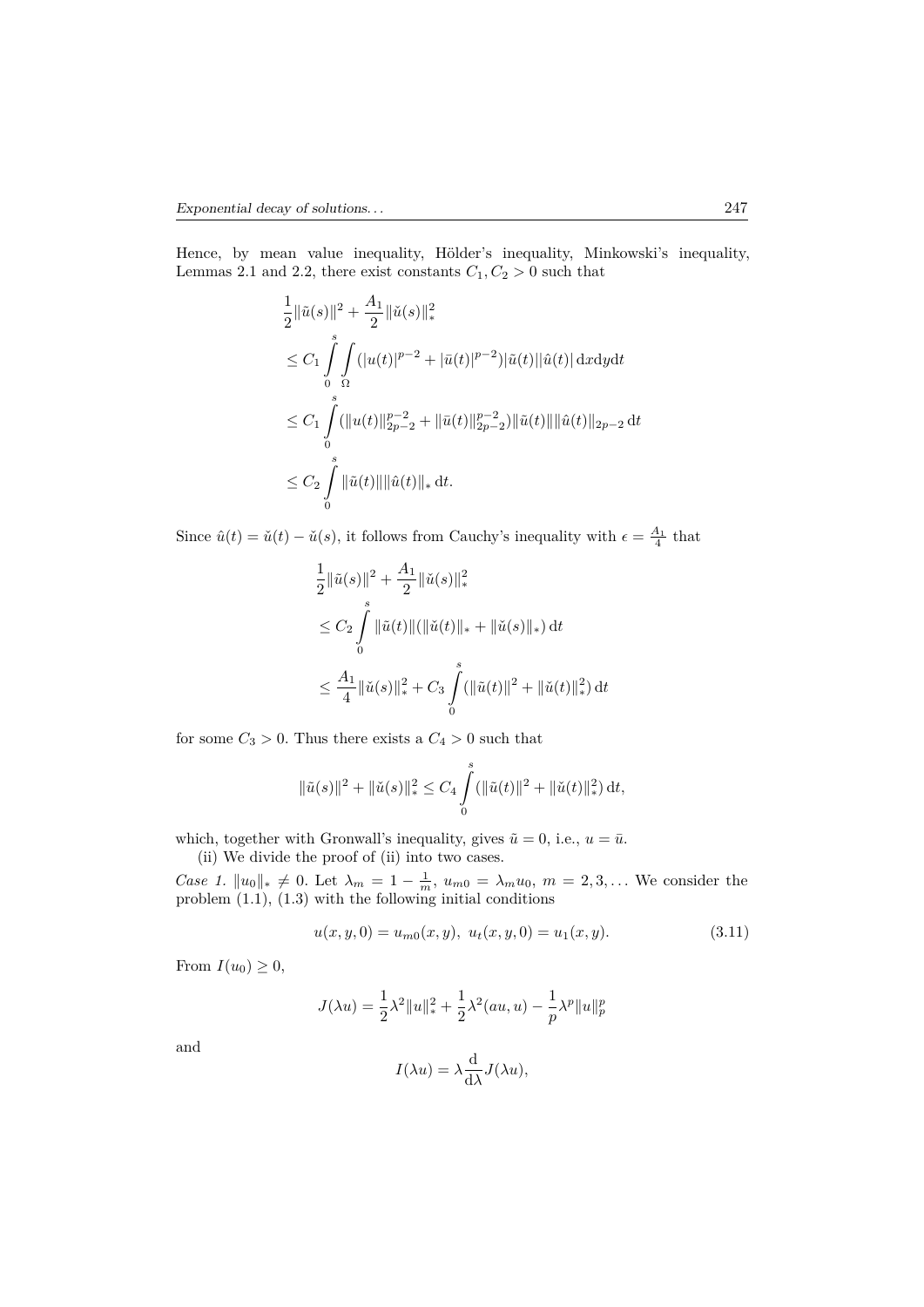Hence, by mean value inequality, Hölder's inequality, Minkowski's inequality, Lemmas 2.1 and 2.2, there exist constants  $C_1, C_2 > 0$  such that

$$
\frac{1}{2} \|\tilde{u}(s)\|^2 + \frac{A_1}{2} \|\check{u}(s)\|_{*}^2
$$
\n
$$
\leq C_1 \int_{0}^{s} \int_{\Omega} (|u(t)|^{p-2} + |\bar{u}(t)|^{p-2}) |\tilde{u}(t)| |\hat{u}(t)| \, \mathrm{d}x \mathrm{d}y \mathrm{d}t
$$
\n
$$
\leq C_1 \int_{0}^{s} (\|u(t)\|_{2p-2}^{p-2} + \|\bar{u}(t)\|_{2p-2}^{p-2}) \|\tilde{u}(t)\| \|\hat{u}(t)\|_{2p-2} \, \mathrm{d}t
$$
\n
$$
\leq C_2 \int_{0}^{s} \|\tilde{u}(t)\| \|\hat{u}(t)\|_{*} \, \mathrm{d}t.
$$

Since  $\hat{u}(t) = \check{u}(t) - \check{u}(s)$ , it follows from Cauchy's inequality with  $\epsilon = \frac{A_1}{4}$  that

$$
\frac{1}{2} \|\tilde{u}(s)\|^2 + \frac{A_1}{2} \|\check{u}(s)\|_{*}^{2}
$$
\n
$$
\leq C_2 \int_{0}^{s} \|\tilde{u}(t)\| (\|\check{u}(t)\|_{*} + \|\check{u}(s)\|_{*}) dt
$$
\n
$$
\leq \frac{A_1}{4} \|\check{u}(s)\|_{*}^{2} + C_3 \int_{0}^{s} (\|\tilde{u}(t)\|^2 + \|\check{u}(t)\|_{*}^{2}) dt
$$

for some  $C_3 > 0$ . Thus there exists a  $C_4 > 0$  such that

$$
\|\tilde{u}(s)\|^2 + \|\check{u}(s)\|_*^2 \leq C_4 \int_0^s (\|\tilde{u}(t)\|^2 + \|\check{u}(t)\|_*^2) dt,
$$

which, together with Gronwall's inequality, gives  $\tilde{u} = 0$ , i.e.,  $u = \bar{u}$ .

(ii) We divide the proof of (ii) into two cases.

*Case 1.*  $||u_0||_* \neq 0$ . Let  $\lambda_m = 1 - \frac{1}{m}$ ,  $u_{m0} = \lambda_m u_0$ ,  $m = 2, 3, ...$  We consider the problem (1.1), (1.3) with the following initial conditions

$$
u(x, y, 0) = u_{m0}(x, y), \ u_t(x, y, 0) = u_1(x, y). \tag{3.11}
$$

From  $I(u_0) \geq 0$ ,

$$
J(\lambda u)=\frac{1}{2}\lambda^2\|u\|_*^2+\frac{1}{2}\lambda^2(au,u)-\frac{1}{p}\lambda^p\|u\|_p^p
$$

and

$$
I(\lambda u) = \lambda \frac{\mathrm{d}}{\mathrm{d}\lambda} J(\lambda u),
$$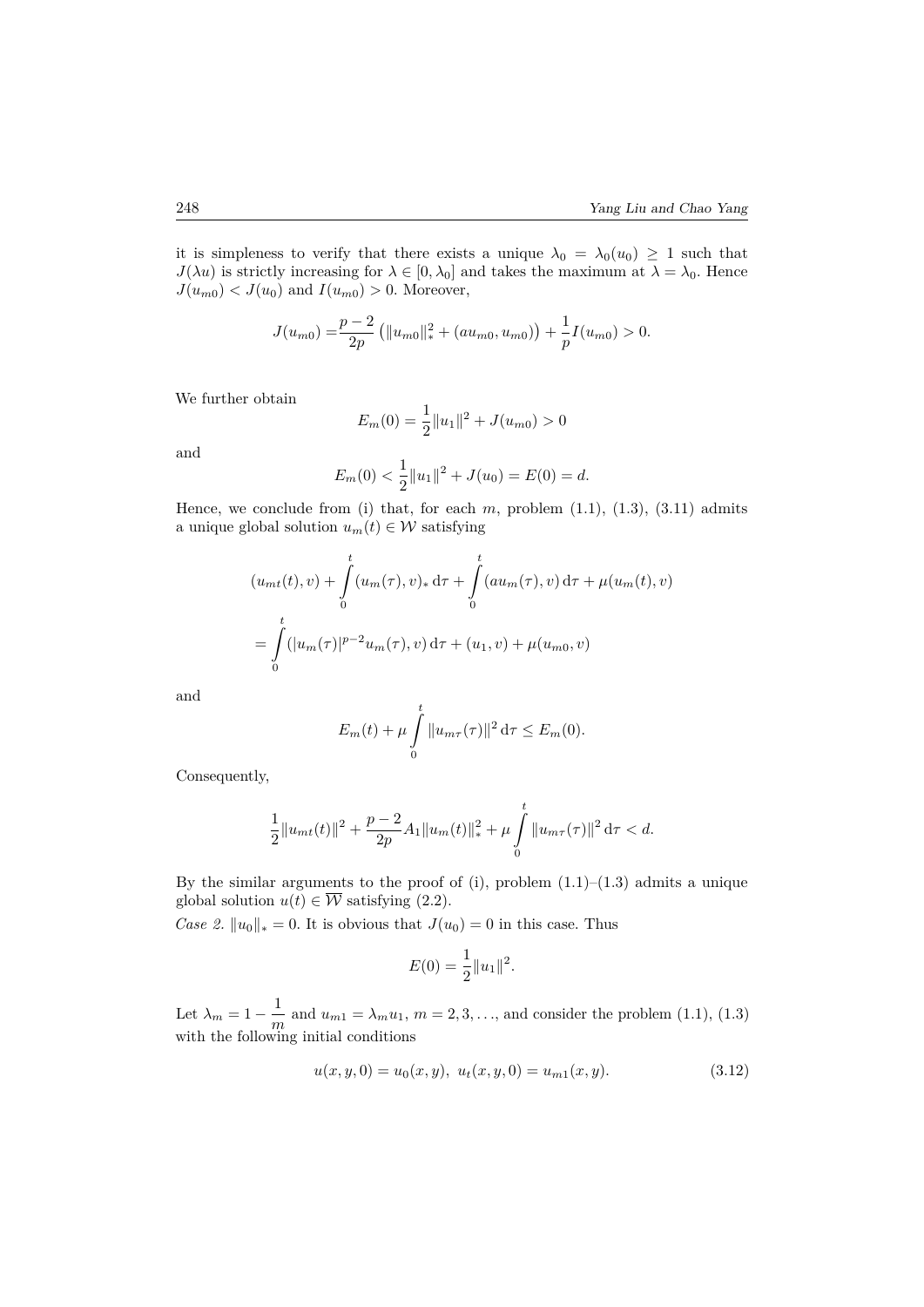it is simpleness to verify that there exists a unique  $\lambda_0 = \lambda_0(u_0) \geq 1$  such that *J*( $\lambda u$ ) is strictly increasing for  $\lambda \in [0, \lambda_0]$  and takes the maximum at  $\lambda = \lambda_0$ . Hence  $J(u_{m0}) < J(u_0)$  and  $I(u_{m0}) > 0$ . Moreover,

$$
J(u_{m0}) = \frac{p-2}{2p} (||u_{m0}||_*^2 + (au_{m0}, u_{m0})) + \frac{1}{p}I(u_{m0}) > 0.
$$

We further obtain

$$
E_m(0) = \frac{1}{2} ||u_1||^2 + J(u_{m0}) > 0
$$

and

$$
E_m(0) < \frac{1}{2} \|u_1\|^2 + J(u_0) = E(0) = d.
$$

Hence, we conclude from (i) that, for each  $m$ , problem  $(1.1)$ ,  $(1.3)$ ,  $(3.11)$  admits a unique global solution  $u_m(t) \in \mathcal{W}$  satisfying

$$
(u_{mt}(t), v) + \int_{0}^{t} (u_m(\tau), v)_* d\tau + \int_{0}^{t} (au_m(\tau), v) d\tau + \mu(u_m(t), v)
$$
  
= 
$$
\int_{0}^{t} (|u_m(\tau)|^{p-2} u_m(\tau), v) d\tau + (u_1, v) + \mu(u_{m0}, v)
$$

and

$$
E_m(t) + \mu \int_{0}^{t} ||u_{m\tau}(\tau)||^2 d\tau \le E_m(0).
$$

Consequently,

$$
\frac{1}{2}||u_{mt}(t)||^2 + \frac{p-2}{2p}A_1||u_m(t)||_*^2 + \mu \int_0^t ||u_{m\tau}(\tau)||^2 d\tau < d.
$$

By the similar arguments to the proof of (i), problem  $(1.1)$ – $(1.3)$  admits a unique global solution  $u(t) \in \overline{\mathcal{W}}$  satisfying (2.2).

*Case 2.*  $||u_0||_* = 0$ . It is obvious that  $J(u_0) = 0$  in this case. Thus

$$
E(0) = \frac{1}{2} ||u_1||^2.
$$

Let  $\lambda_m = 1 - \frac{1}{m}$  $\frac{1}{m}$  and  $u_{m1} = \lambda_m u_1$ ,  $m = 2, 3, \ldots$ , and consider the problem (1.1), (1.3) with the following initial conditions

$$
u(x, y, 0) = u_0(x, y), \ u_t(x, y, 0) = u_{m1}(x, y). \tag{3.12}
$$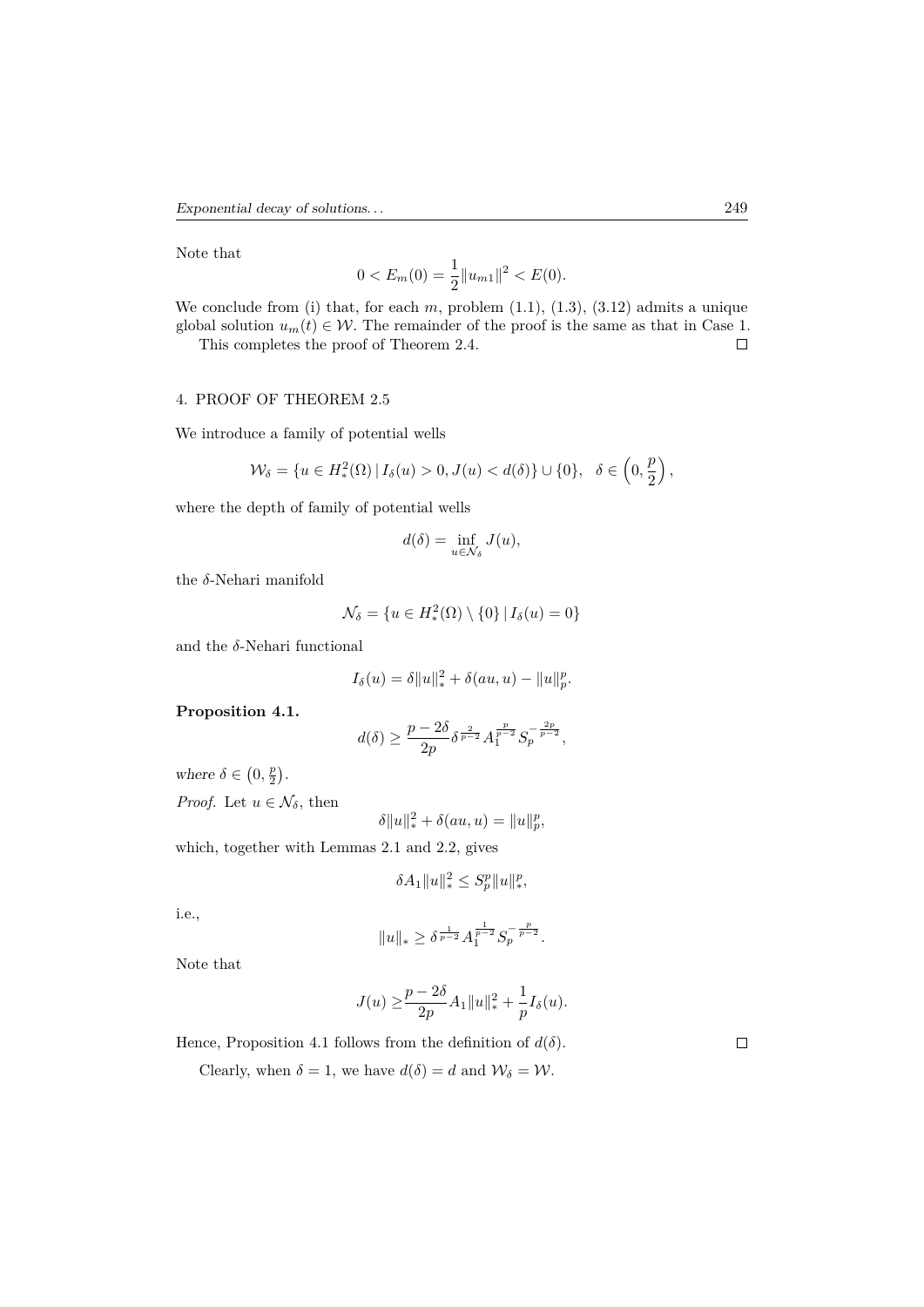Note that

$$
0 < E_m(0) = \frac{1}{2} \|u_{m1}\|^2 < E(0).
$$

We conclude from (i) that, for each  $m$ , problem  $(1.1)$ ,  $(1.3)$ ,  $(3.12)$  admits a unique global solution  $u_m(t) \in \mathcal{W}$ . The remainder of the proof is the same as that in Case 1.<br>This completes the proof of Theorem 2.4.

This completes the proof of Theorem 2.4.

# 4. PROOF OF THEOREM 2.5

We introduce a family of potential wells

$$
\mathcal{W}_{\delta} = \{ u \in H^2_*(\Omega) | I_{\delta}(u) > 0, J(u) < d(\delta) \} \cup \{ 0 \}, \ \ \delta \in \left( 0, \frac{p}{2} \right),
$$

where the depth of family of potential wells

$$
d(\delta) = \inf_{u \in \mathcal{N}_{\delta}} J(u),
$$

the *δ*-Nehari manifold

$$
\mathcal{N}_{\delta} = \{ u \in H_*^2(\Omega) \setminus \{0\} \, | \, I_{\delta}(u) = 0 \}
$$

and the  $\delta$ -Nehari functional

$$
I_{\delta}(u) = \delta ||u||_*^2 + \delta(au, u) - ||u||_p^p.
$$

**Proposition 4.1.**

$$
d(\delta) \geq \frac{p-2\delta}{2p} \delta^{\frac{2}{p-2}} A_1^{\frac{p}{p-2}} S_p^{-\frac{2p}{p-2}},
$$

where  $\delta \in (0, \frac{p}{2})$ .

*Proof.* Let  $u \in \mathcal{N}_{\delta}$ , then

$$
\delta ||u||_*^2 + \delta(au, u) = ||u||_p^p,
$$

which, together with Lemmas 2.1 and 2.2, gives

$$
\delta A_1 \|u\|_*^2 \le S_p^p \|u\|_*^p,
$$

i.e.,

$$
\|u\|_*\geq \delta^{\frac{1}{p-2}}A_1^{\frac{1}{p-2}}S_p^{-\frac{p}{p-2}}.
$$

Note that

$$
J(u) \ge \frac{p-2\delta}{2p} A_1 ||u||_*^2 + \frac{1}{p} I_\delta(u).
$$

Hence, Proposition 4.1 follows from the definition of  $d(\delta)$ .

Clearly, when  $\delta = 1$ , we have  $d(\delta) = d$  and  $\mathcal{W}_{\delta} = \mathcal{W}$ .

 $\Box$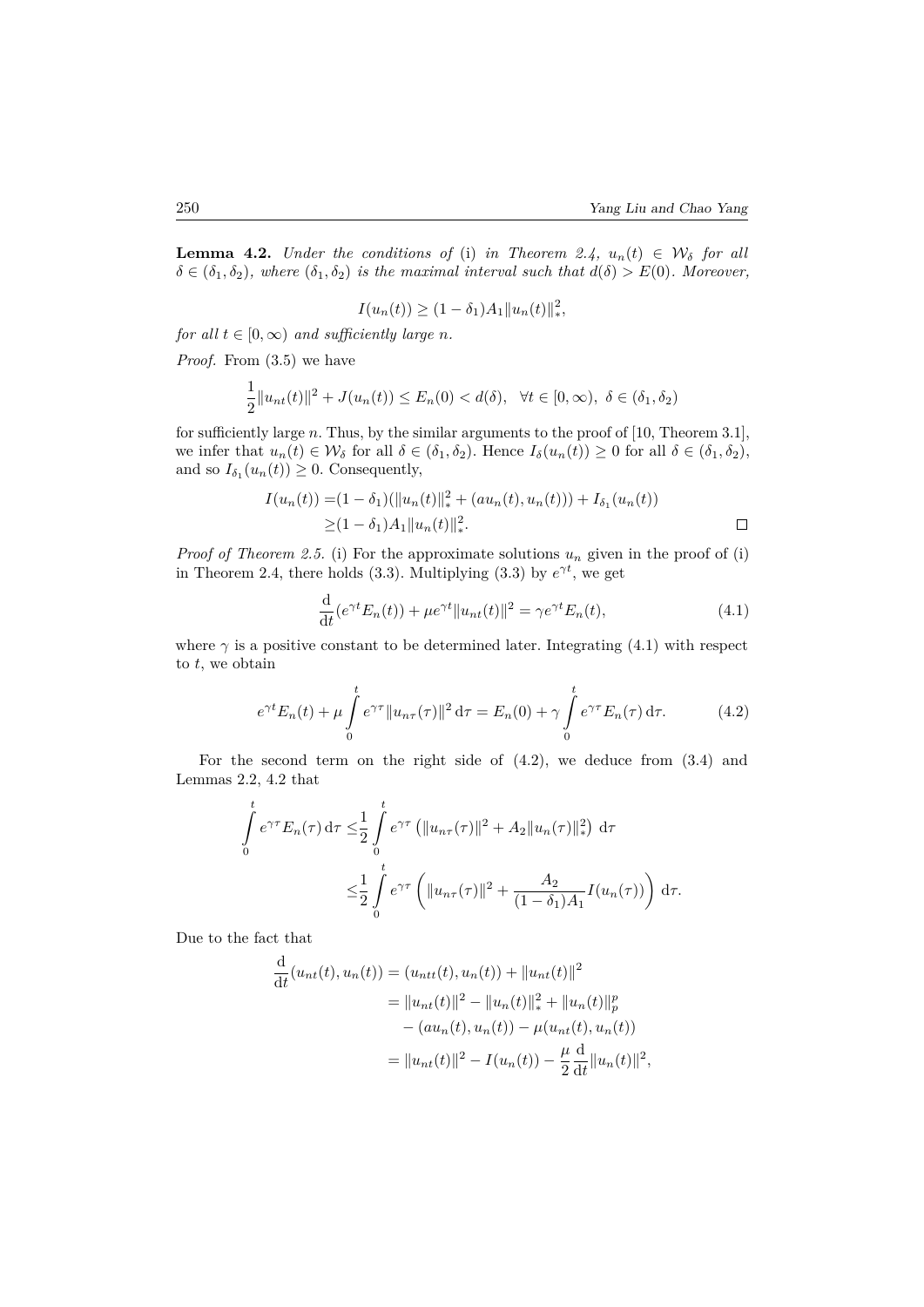**Lemma 4.2.** *Under the conditions of* (i) *in Theorem 2.4,*  $u_n(t) \in W_\delta$  *for all*  $\delta \in (\delta_1, \delta_2)$ , where  $(\delta_1, \delta_2)$  *is the maximal interval such that*  $d(\delta) > E(0)$ *. Moreover,* 

$$
I(u_n(t)) \ge (1 - \delta_1)A_1 ||u_n(t)||_*^2,
$$

*for all*  $t \in [0, \infty)$  *and sufficiently large n.* 

*Proof.* From (3.5) we have

$$
\frac{1}{2}||u_{nt}(t)||^2 + J(u_n(t)) \le E_n(0) < d(\delta), \quad \forall t \in [0, \infty), \ \delta \in (\delta_1, \delta_2)
$$

for sufficiently large *n*. Thus, by the similar arguments to the proof of [10, Theorem 3.1], we infer that  $u_n(t) \in \mathcal{W}_\delta$  for all  $\delta \in (\delta_1, \delta_2)$ . Hence  $I_\delta(u_n(t)) \geq 0$  for all  $\delta \in (\delta_1, \delta_2)$ , and so  $I_{\delta_1}(u_n(t)) \geq 0$ . Consequently,

$$
I(u_n(t)) = (1 - \delta_1)(\|u_n(t)\|_{*}^{2} + (au_n(t), u_n(t))) + I_{\delta_1}(u_n(t))
$$
  
\n
$$
\geq (1 - \delta_1)A_1\|u_n(t)\|_{*}^{2}.
$$

*Proof of Theorem 2.5.* (i) For the approximate solutions  $u_n$  given in the proof of (i) in Theorem 2.4, there holds (3.3). Multiplying (3.3) by  $e^{\gamma t}$ , we get

$$
\frac{\mathrm{d}}{\mathrm{d}t}(e^{\gamma t}E_n(t)) + \mu e^{\gamma t} \|u_{nt}(t)\|^2 = \gamma e^{\gamma t} E_n(t),\tag{4.1}
$$

where  $\gamma$  is a positive constant to be determined later. Integrating (4.1) with respect to *t*, we obtain

$$
e^{\gamma t} E_n(t) + \mu \int_0^t e^{\gamma \tau} \|u_{n\tau}(\tau)\|^2 d\tau = E_n(0) + \gamma \int_0^t e^{\gamma \tau} E_n(\tau) d\tau.
$$
 (4.2)

For the second term on the right side of  $(4.2)$ , we deduce from  $(3.4)$  and Lemmas 2.2, 4.2 that

$$
\int_{0}^{t} e^{\gamma \tau} E_n(\tau) d\tau \leq \frac{1}{2} \int_{0}^{t} e^{\gamma \tau} \left( \|u_{n\tau}(\tau)\|^2 + A_2 \|u_n(\tau)\|^2 \right) d\tau
$$
  

$$
\leq \frac{1}{2} \int_{0}^{t} e^{\gamma \tau} \left( \|u_{n\tau}(\tau)\|^2 + \frac{A_2}{(1 - \delta_1)A_1} I(u_n(\tau)) \right) d\tau.
$$

Due to the fact that

$$
\frac{d}{dt}(u_{nt}(t), u_n(t)) = (u_{nt}(t), u_n(t)) + ||u_{nt}(t)||^2
$$
  
\n
$$
= ||u_{nt}(t)||^2 - ||u_n(t)||_*^2 + ||u_n(t)||_p^p
$$
  
\n
$$
- (au_n(t), u_n(t)) - \mu(u_{nt}(t), u_n(t))
$$
  
\n
$$
= ||u_{nt}(t)||^2 - I(u_n(t)) - \frac{\mu}{2} \frac{d}{dt} ||u_n(t)||^2,
$$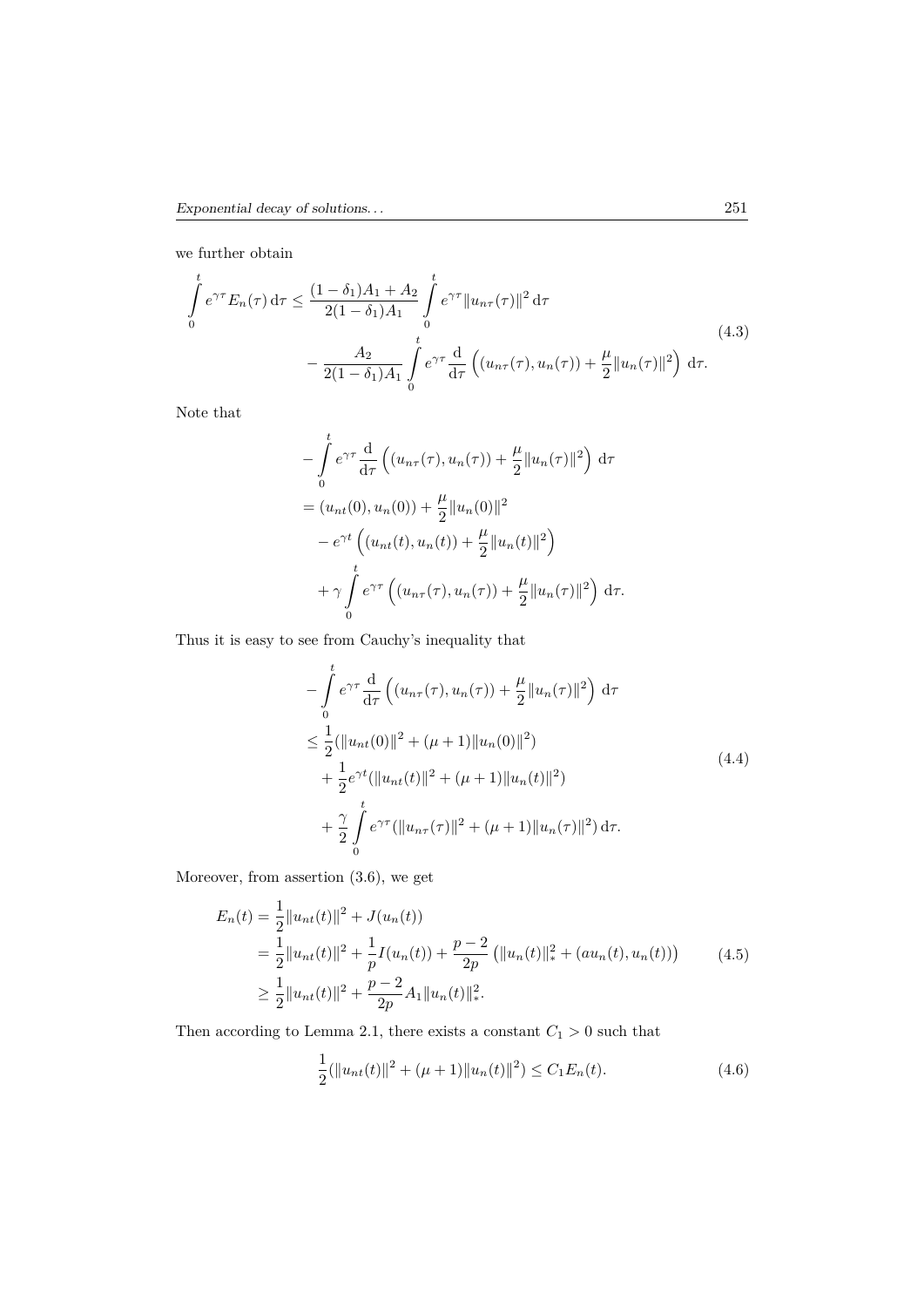we further obtain

$$
\int_{0}^{t} e^{\gamma \tau} E_{n}(\tau) d\tau \leq \frac{(1 - \delta_{1})A_{1} + A_{2}}{2(1 - \delta_{1})A_{1}} \int_{0}^{t} e^{\gamma \tau} ||u_{n\tau}(\tau)||^{2} d\tau
$$
\n
$$
- \frac{A_{2}}{2(1 - \delta_{1})A_{1}} \int_{0}^{t} e^{\gamma \tau} \frac{d}{d\tau} \left( (u_{n\tau}(\tau), u_{n}(\tau)) + \frac{\mu}{2} ||u_{n}(\tau)||^{2} \right) d\tau.
$$
\n(4.3)

Note that

$$
-\int_{0}^{t} e^{\gamma \tau} \frac{d}{d\tau} \left( (u_{n\tau}(\tau), u_n(\tau)) + \frac{\mu}{2} ||u_n(\tau)||^2 \right) d\tau
$$
  
=  $(u_{nt}(0), u_n(0)) + \frac{\mu}{2} ||u_n(0)||^2$   
 $- e^{\gamma t} \left( (u_{nt}(t), u_n(t)) + \frac{\mu}{2} ||u_n(t)||^2 \right)$   
 $+ \gamma \int_{0}^{t} e^{\gamma \tau} \left( (u_{n\tau}(\tau), u_n(\tau)) + \frac{\mu}{2} ||u_n(\tau)||^2 \right) d\tau.$ 

Thus it is easy to see from Cauchy's inequality that

$$
-\int_{0}^{t} e^{\gamma \tau} \frac{d}{d\tau} \left( (u_{n\tau}(\tau), u_n(\tau)) + \frac{\mu}{2} ||u_n(\tau)||^2 \right) d\tau
$$
  
\n
$$
\leq \frac{1}{2} (||u_{nt}(0)||^2 + (\mu + 1) ||u_n(0)||^2)
$$
  
\n
$$
+ \frac{1}{2} e^{\gamma t} (||u_{nt}(t)||^2 + (\mu + 1) ||u_n(t)||^2)
$$
  
\n
$$
+ \frac{\gamma}{2} \int_{0}^{t} e^{\gamma \tau} (||u_{n\tau}(\tau)||^2 + (\mu + 1) ||u_n(\tau)||^2) d\tau.
$$
\n(4.4)

Moreover, from assertion (3.6), we get

$$
E_n(t) = \frac{1}{2} ||u_{nt}(t)||^2 + J(u_n(t))
$$
  
=  $\frac{1}{2} ||u_{nt}(t)||^2 + \frac{1}{p}I(u_n(t)) + \frac{p-2}{2p} (||u_n(t)||_*^2 + (au_n(t), u_n(t)))$  (4.5)  
 $\geq \frac{1}{2} ||u_{nt}(t)||^2 + \frac{p-2}{2p}A_1 ||u_n(t)||_*^2.$ 

Then according to Lemma 2.1, there exists a constant  $C_1 > 0$  such that

$$
\frac{1}{2}(\|u_{nt}(t)\|^2 + (\mu + 1)\|u_n(t)\|^2) \le C_1 E_n(t).
$$
\n(4.6)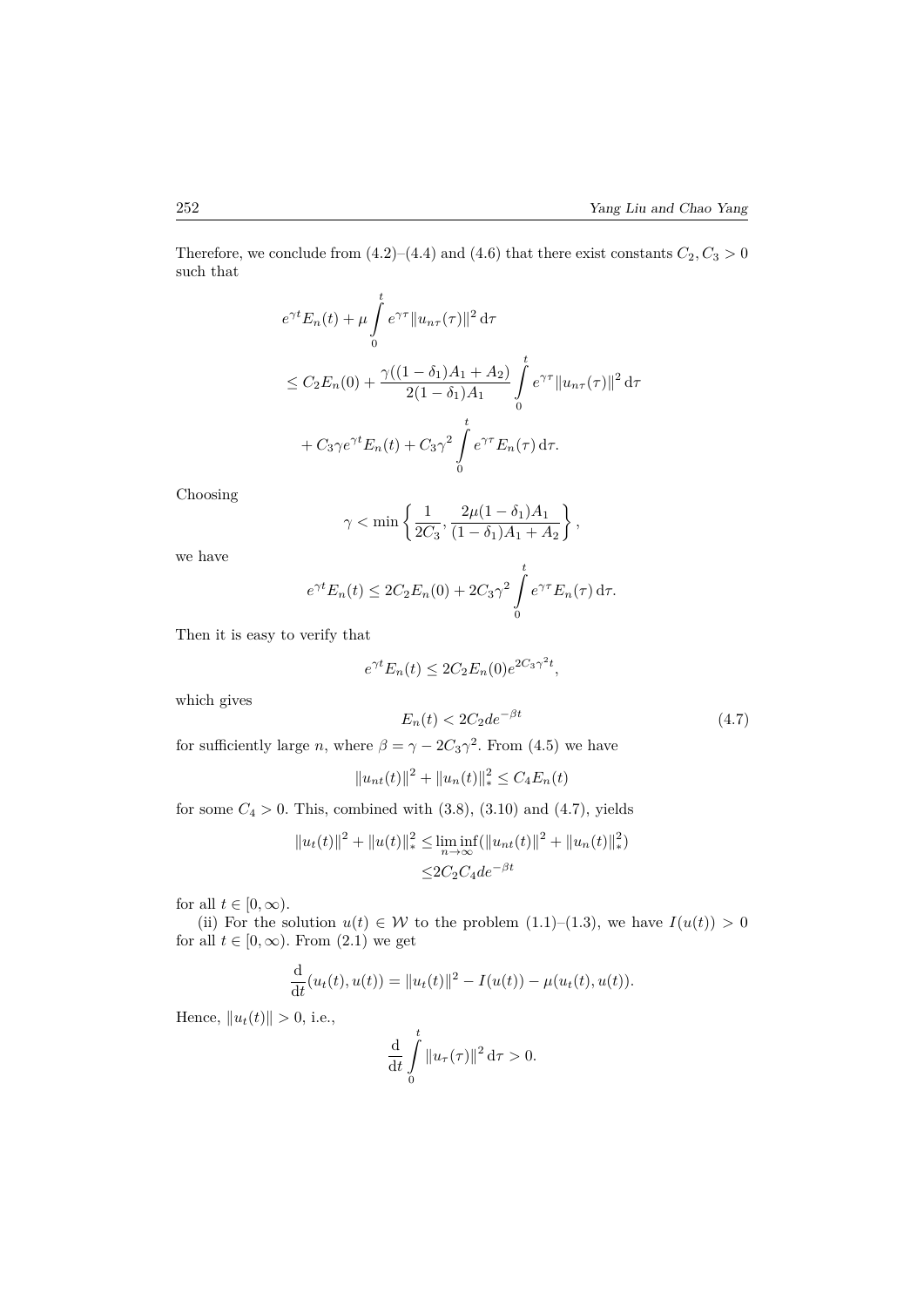Therefore, we conclude from  $(4.2)$ – $(4.4)$  and  $(4.6)$  that there exist constants  $C_2, C_3 > 0$ such that

$$
e^{\gamma t} E_n(t) + \mu \int_0^t e^{\gamma \tau} \|u_{n\tau}(\tau)\|^2 d\tau
$$
  
\n
$$
\leq C_2 E_n(0) + \frac{\gamma ((1 - \delta_1)A_1 + A_2)}{2(1 - \delta_1)A_1} \int_0^t e^{\gamma \tau} \|u_{n\tau}(\tau)\|^2 d\tau
$$
  
\n
$$
+ C_3 \gamma e^{\gamma t} E_n(t) + C_3 \gamma^2 \int_0^t e^{\gamma \tau} E_n(\tau) d\tau.
$$

Choosing

$$
\gamma < \min \left\{ \frac{1}{2C_3}, \frac{2\mu(1-\delta_1)A_1}{(1-\delta_1)A_1+A_2} \right\},\,
$$

we have

$$
e^{\gamma t} E_n(t) \le 2C_2 E_n(0) + 2C_3 \gamma^2 \int_0^t e^{\gamma \tau} E_n(\tau) d\tau.
$$

Then it is easy to verify that

$$
e^{\gamma t} E_n(t) \le 2C_2 E_n(0) e^{2C_3 \gamma^2 t},
$$

which gives

$$
E_n(t) < 2C_2 \, d e^{-\beta t} \tag{4.7}
$$

for sufficiently large *n*, where  $\beta = \gamma - 2C_3\gamma^2$ . From (4.5) we have

$$
||u_{nt}(t)||^2 + ||u_n(t)||_*^2 \le C_4 E_n(t)
$$

for some  $C_4 > 0$ . This, combined with  $(3.8)$ ,  $(3.10)$  and  $(4.7)$ , yields

$$
||u_t(t)||^2 + ||u(t)||_*^2 \le \liminf_{n \to \infty} (||u_{nt}(t)||^2 + ||u_n(t)||_*^2)
$$
  

$$
\le 2C_2C_4de^{-\beta t}
$$

for all  $t \in [0, \infty)$ .

(ii) For the solution  $u(t) \in W$  to the problem (1.1)–(1.3), we have  $I(u(t)) > 0$ for all  $t \in [0, \infty)$ . From  $(2.1)$  we get

$$
\frac{\mathrm{d}}{\mathrm{d}t}(u_t(t), u(t)) = ||u_t(t)||^2 - I(u(t)) - \mu(u_t(t), u(t)).
$$

Hence,  $||u_t(t)|| > 0$ , i.e.,

$$
\frac{\mathrm{d}}{\mathrm{d}t} \int\limits_0^t \|u_\tau(\tau)\|^2 \,\mathrm{d}\tau > 0.
$$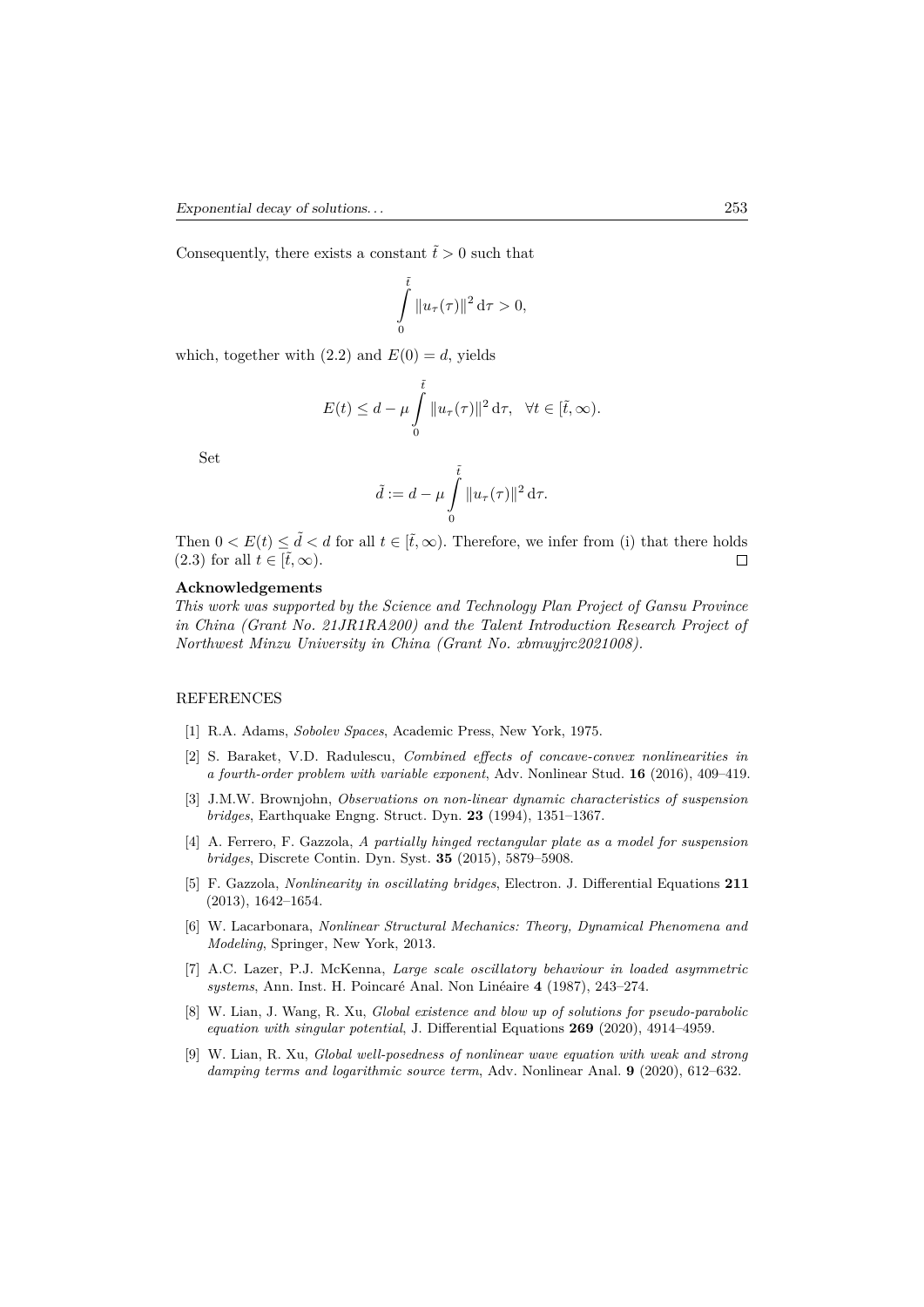Consequently, there exists a constant  $\tilde{t} > 0$  such that

$$
\int_{0}^{\tilde{t}} \|u_{\tau}(\tau)\|^{2} d\tau > 0,
$$

which, together with  $(2.2)$  and  $E(0) = d$ , yields

$$
E(t) \leq d - \mu \int_{0}^{\tilde{t}} \|u_{\tau}(\tau)\|^{2} d\tau, \quad \forall t \in [\tilde{t}, \infty).
$$

Set

$$
\tilde{d} := d - \mu \int\limits_0^{\tilde{t}} \|u_\tau(\tau)\|^2 \, \mathrm{d}\tau.
$$

Then  $0 < E(t) \leq \tilde{d} < d$  for all  $t \in [\tilde{t}, \infty)$ . Therefore, we infer from (i) that there holds (2.3) for all  $t \in [\tilde{t}, \infty)$ . (2.3) for all  $t \in [\tilde{t}, \infty)$ .

#### **Acknowledgements**

*This work was supported by the Science and Technology Plan Project of Gansu Province in China (Grant No. 21JR1RA200) and the Talent Introduction Research Project of Northwest Minzu University in China (Grant No. xbmuyjrc2021008).*

#### REFERENCES

- [1] R.A. Adams, *Sobolev Spaces*, Academic Press, New York, 1975.
- [2] S. Baraket, V.D. Radulescu, *Combined effects of concave-convex nonlinearities in a fourth-order problem with variable exponent*, Adv. Nonlinear Stud. **16** (2016), 409–419.
- [3] J.M.W. Brownjohn, *Observations on non-linear dynamic characteristics of suspension bridges*, Earthquake Engng. Struct. Dyn. **23** (1994), 1351–1367.
- [4] A. Ferrero, F. Gazzola, *A partially hinged rectangular plate as a model for suspension bridges*, Discrete Contin. Dyn. Syst. **35** (2015), 5879–5908.
- [5] F. Gazzola, *Nonlinearity in oscillating bridges*, Electron. J. Differential Equations **211** (2013), 1642–1654.
- [6] W. Lacarbonara, *Nonlinear Structural Mechanics: Theory, Dynamical Phenomena and Modeling*, Springer, New York, 2013.
- [7] A.C. Lazer, P.J. McKenna, *Large scale oscillatory behaviour in loaded asymmetric systems*, Ann. Inst. H. Poincaré Anal. Non Linéaire **4** (1987), 243–274.
- [8] W. Lian, J. Wang, R. Xu, *Global existence and blow up of solutions for pseudo-parabolic equation with singular potential*, J. Differential Equations **269** (2020), 4914–4959.
- [9] W. Lian, R. Xu, *Global well-posedness of nonlinear wave equation with weak and strong damping terms and logarithmic source term*, Adv. Nonlinear Anal. **9** (2020), 612–632.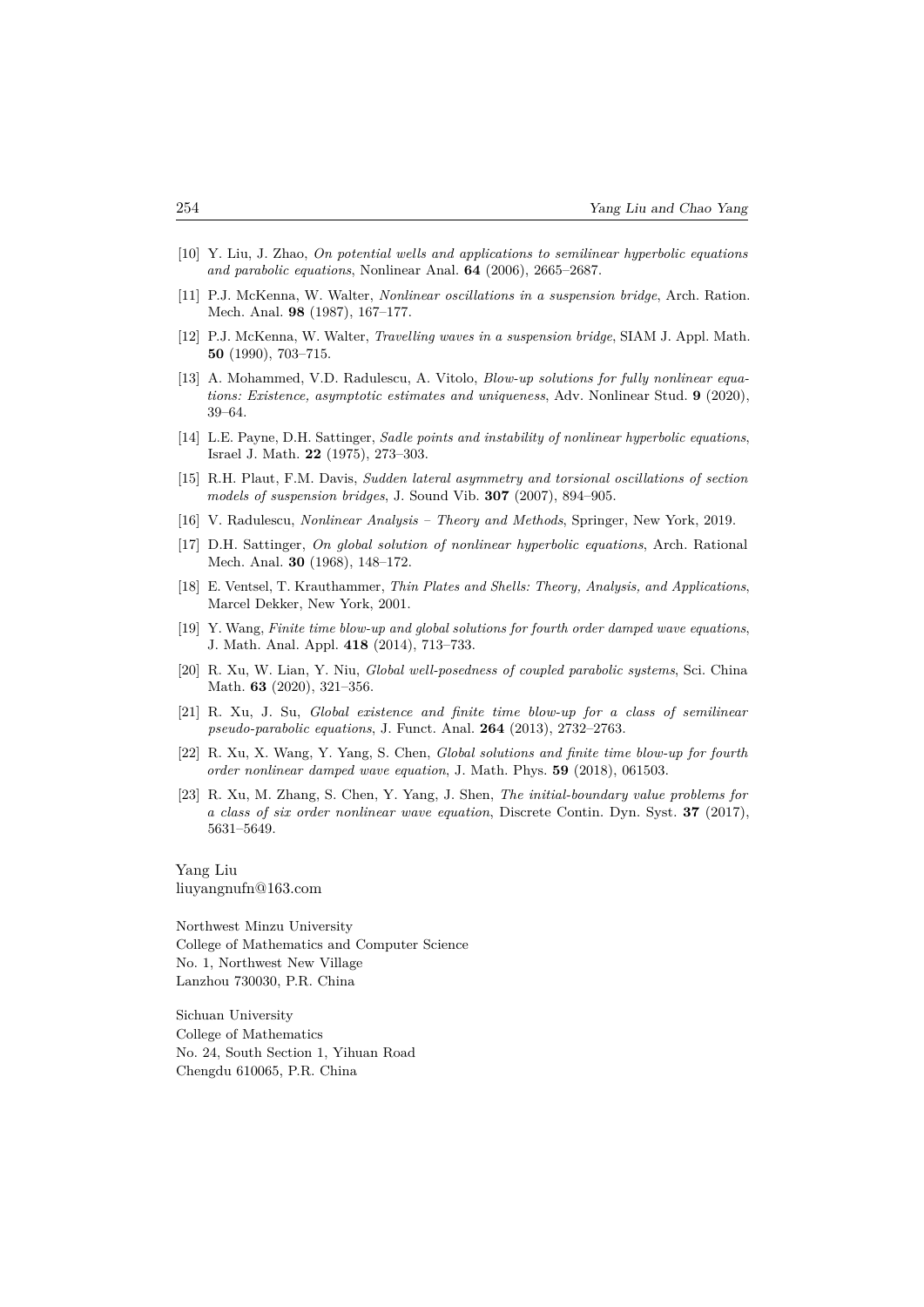- [10] Y. Liu, J. Zhao, *On potential wells and applications to semilinear hyperbolic equations and parabolic equations*, Nonlinear Anal. **64** (2006), 2665–2687.
- [11] P.J. McKenna, W. Walter, *Nonlinear oscillations in a suspension bridge*, Arch. Ration. Mech. Anal. **98** (1987), 167–177.
- [12] P.J. McKenna, W. Walter, *Travelling waves in a suspension bridge*, SIAM J. Appl. Math. **50** (1990), 703–715.
- [13] A. Mohammed, V.D. Radulescu, A. Vitolo, *Blow-up solutions for fully nonlinear equations: Existence, asymptotic estimates and uniqueness*, Adv. Nonlinear Stud. **9** (2020), 39–64.
- [14] L.E. Payne, D.H. Sattinger, *Sadle points and instability of nonlinear hyperbolic equations*, Israel J. Math. **22** (1975), 273–303.
- [15] R.H. Plaut, F.M. Davis, *Sudden lateral asymmetry and torsional oscillations of section models of suspension bridges*, J. Sound Vib. **307** (2007), 894–905.
- [16] V. Radulescu, *Nonlinear Analysis Theory and Methods*, Springer, New York, 2019.
- [17] D.H. Sattinger, *On global solution of nonlinear hyperbolic equations*, Arch. Rational Mech. Anal. **30** (1968), 148–172.
- [18] E. Ventsel, T. Krauthammer, *Thin Plates and Shells: Theory, Analysis, and Applications*, Marcel Dekker, New York, 2001.
- [19] Y. Wang, *Finite time blow-up and global solutions for fourth order damped wave equations*, J. Math. Anal. Appl. **418** (2014), 713–733.
- [20] R. Xu, W. Lian, Y. Niu, *Global well-posedness of coupled parabolic systems*, Sci. China Math. **63** (2020), 321–356.
- [21] R. Xu, J. Su, *Global existence and finite time blow-up for a class of semilinear pseudo-parabolic equations*, J. Funct. Anal. **264** (2013), 2732–2763.
- [22] R. Xu, X. Wang, Y. Yang, S. Chen, *Global solutions and finite time blow-up for fourth order nonlinear damped wave equation*, J. Math. Phys. **59** (2018), 061503.
- [23] R. Xu, M. Zhang, S. Chen, Y. Yang, J. Shen, *The initial-boundary value problems for a class of six order nonlinear wave equation*, Discrete Contin. Dyn. Syst. **37** (2017), 5631–5649.

Yang Liu liuyangnufn@163.com

Northwest Minzu University College of Mathematics and Computer Science No. 1, Northwest New Village Lanzhou 730030, P.R. China

Sichuan University College of Mathematics No. 24, South Section 1, Yihuan Road Chengdu 610065, P.R. China